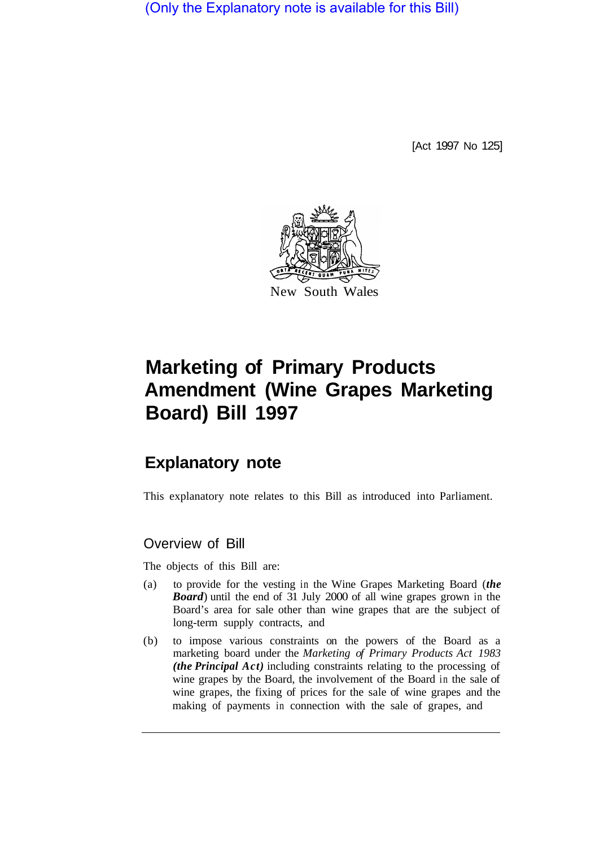(Only the Explanatory note is available for this Bill)

[Act 1997 No 125]



# **Marketing of Primary Products Amendment (Wine Grapes Marketing Board) Bill 1997**

# **Explanatory note**

This explanatory note relates to this Bill as introduced into Parliament.

# Overview of Bill

The objects of this Bill are:

- (a) to provide for the vesting in the Wine Grapes Marketing Board (*the Board*) until the end of 31 July 2000 of all wine grapes grown in the Board's area for sale other than wine grapes that are the subject of long-term supply contracts, and
- (b) to impose various constraints on the powers of the Board as a marketing board under the *Marketing of Primary Products Act 1983 (the Principal Act)* including constraints relating to the processing of wine grapes by the Board, the involvement of the Board in the sale of wine grapes, the fixing of prices for the sale of wine grapes and the making of payments in connection with the sale of grapes, and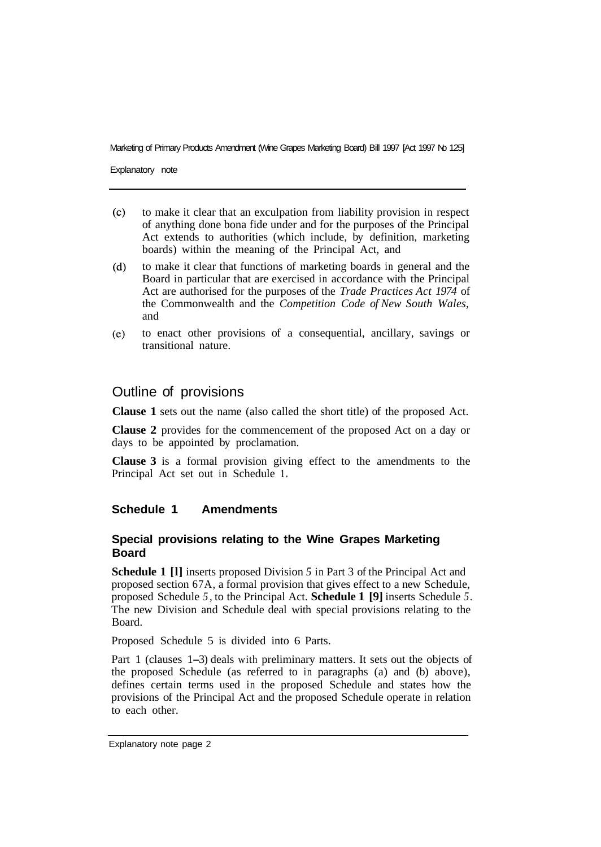Marketing of Primary Products Amendment (Wine Grapes Marketing Board) Bill 1997 [Act 1997 No 125]

Explanatory note

- $(c)$ to make it clear that an exculpation from liability provision in respect of anything done bona fide under and for the purposes of the Principal Act extends to authorities (which include, by definition, marketing boards) within the meaning of the Principal Act, and
- $(d)$ to make it clear that functions of marketing boards in general and the Board in particular that are exercised in accordance with the Principal Act are authorised for the purposes of the *Trade Practices Act 1974* of the Commonwealth and the *Competition Code of New South Wales,*  and
- to enact other provisions of a consequential, ancillary, savings or  $(e)$ transitional nature.

# Outline of provisions

**Clause 1** sets out the name (also called the short title) of the proposed Act.

**Clause 2** provides for the commencement of the proposed Act on a day or days to be appointed by proclamation.

**Clause 3** is a formal provision giving effect to the amendments to the Principal Act set out in Schedule **1.** 

#### **Schedule 1 Amendments**

#### **Special provisions relating to the Wine Grapes Marketing Board**

**Schedule 1 [l]** inserts proposed Division *5* in Part 3 of the Principal Act and proposed section 67A, a formal provision that gives effect to a new Schedule, proposed Schedule *5,* to the Principal Act. **Schedule 1 [9]** inserts Schedule *5.*  The new Division and Schedule deal with special provisions relating to the Board.

Proposed Schedule 5 is divided into 6 Parts.

Part 1 (clauses 1-3) deals with preliminary matters. It sets out the objects of the proposed Schedule (as referred to in paragraphs (a) and (b) above), defines certain terms used in the proposed Schedule and states how the provisions of the Principal Act and the proposed Schedule operate in relation to each other.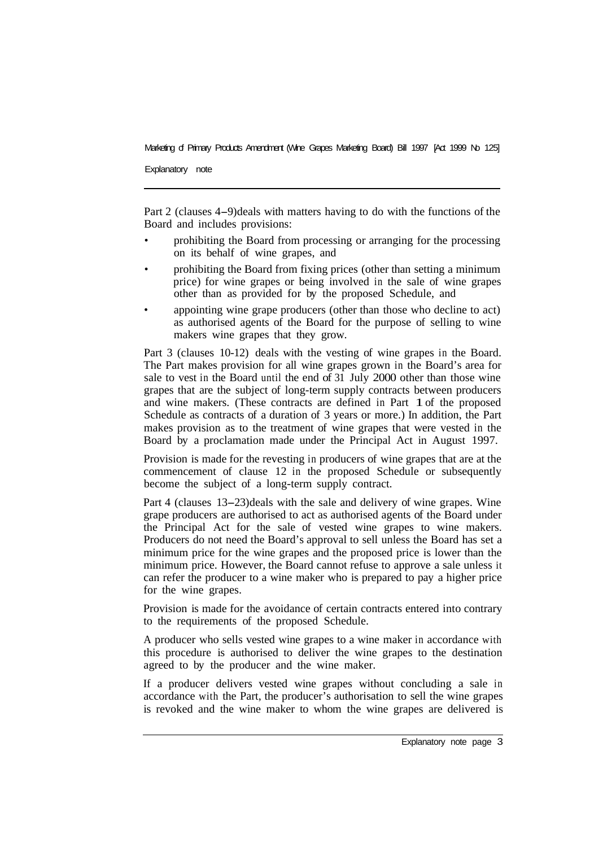Marketing of Primary Products Amendment (Wine Grapes Marketing Board) Bill 1997 [Act 1999 No 125]

Explanatory note

Part 2 (clauses 4-9) deals with matters having to do with the functions of the Board and includes provisions:

- prohibiting the Board from processing or arranging for the processing on its behalf of wine grapes, and
- prohibiting the Board from fixing prices (other than setting a minimum price) for wine grapes or being involved in the sale of wine grapes other than as provided for by the proposed Schedule, and
- appointing wine grape producers (other than those who decline to act) as authorised agents of the Board for the purpose of selling to wine makers wine grapes that they grow.

Part 3 (clauses 10-12) deals with the vesting of wine grapes in the Board. The Part makes provision for all wine grapes grown in the Board's area for sale to vest in the Board until the end of 31 July 2000 other than those wine grapes that are the subject of long-term supply contracts between producers and wine makers. (These contracts are defined in Part 1 of the proposed Schedule as contracts of a duration of 3 years or more.) In addition, the Part makes provision as to the treatment of wine grapes that were vested in the Board by a proclamation made under the Principal Act in August 1997.

Provision is made for the revesting in producers of wine grapes that are at the commencement of clause 12 in the proposed Schedule or subsequently become the subject of a long-term supply contract.

Part 4 (clauses 13-23) deals with the sale and delivery of wine grapes. Wine grape producers are authorised to act as authorised agents of the Board under the Principal Act for the sale of vested wine grapes to wine makers. Producers do not need the Board's approval to sell unless the Board has set a minimum price for the wine grapes and the proposed price is lower than the minimum price. However, the Board cannot refuse to approve a sale unless it can refer the producer to a wine maker who is prepared to pay a higher price for the wine grapes.

Provision is made for the avoidance of certain contracts entered into contrary to the requirements of the proposed Schedule.

A producer who sells vested wine grapes to a wine maker in accordance with this procedure is authorised to deliver the wine grapes to the destination agreed to by the producer and the wine maker.

If a producer delivers vested wine grapes without concluding a sale in accordance with the Part, the producer's authorisation to sell the wine grapes is revoked and the wine maker to whom the wine grapes are delivered is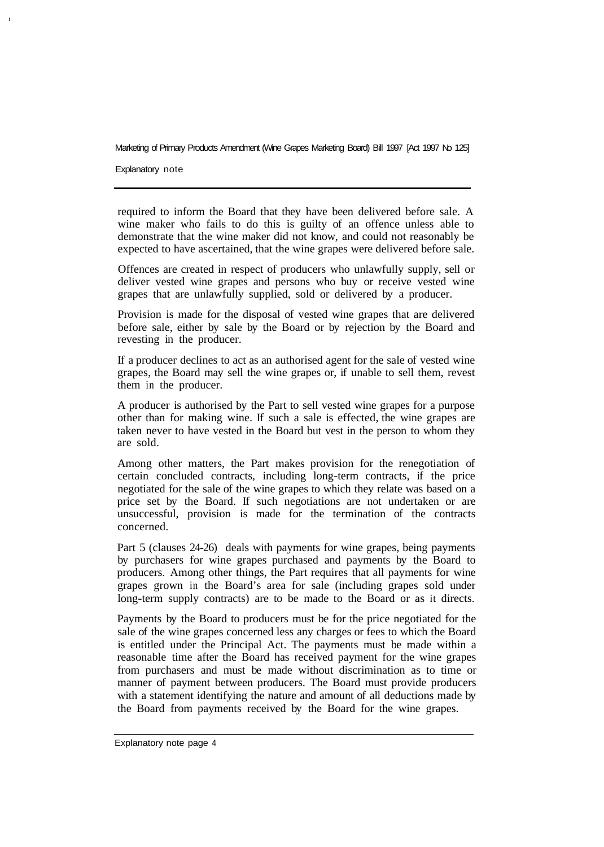#### Marketing of Primary Products Amendment (Wine Grapes Marketing Board) Bill 1997 [Act 1997 No 125]

Explanatory note

**I** 

required to inform the Board that they have been delivered before sale. A wine maker who fails to do this is guilty of an offence unless able to demonstrate that the wine maker did not know, and could not reasonably be expected to have ascertained, that the wine grapes were delivered before sale.

Offences are created in respect of producers who unlawfully supply, sell or deliver vested wine grapes and persons who buy or receive vested wine grapes that are unlawfully supplied, sold or delivered by a producer.

Provision is made for the disposal of vested wine grapes that are delivered before sale, either by sale by the Board or by rejection by the Board and revesting in the producer.

If a producer declines to act as an authorised agent for the sale of vested wine grapes, the Board may sell the wine grapes or, if unable to sell them, revest them in the producer.

A producer is authorised by the Part to sell vested wine grapes for a purpose other than for making wine. If such a sale is effected, the wine grapes are taken never to have vested in the Board but vest in the person to whom they are sold.

Among other matters, the Part makes provision for the renegotiation of certain concluded contracts, including long-term contracts, if the price negotiated for the sale of the wine grapes to which they relate was based on a price set by the Board. If such negotiations are not undertaken or are unsuccessful, provision is made for the termination of the contracts concerned.

Part 5 (clauses 24-26) deals with payments for wine grapes, being payments by purchasers for wine grapes purchased and payments by the Board to producers. Among other things, the Part requires that all payments for wine grapes grown in the Board's area for sale (including grapes sold under long-term supply contracts) are to be made to the Board or as it directs.

Payments by the Board to producers must be for the price negotiated for the sale of the wine grapes concerned less any charges or fees to which the Board is entitled under the Principal Act. The payments must be made within a reasonable time after the Board has received payment for the wine grapes from purchasers and must be made without discrimination as to time or manner of payment between producers. The Board must provide producers with a statement identifying the nature and amount of all deductions made by the Board from payments received by the Board for the wine grapes.